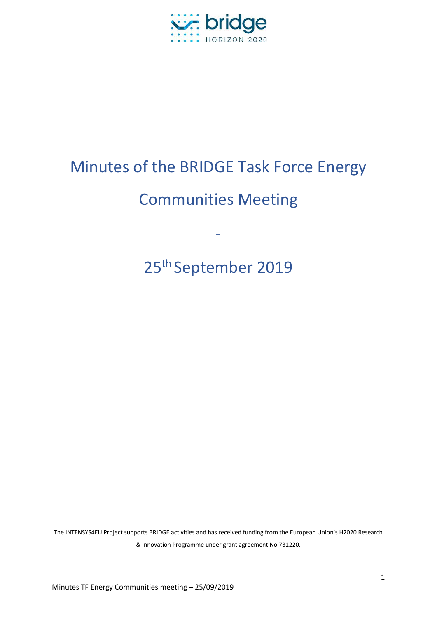

# Minutes of the BRIDGE Task Force Energy

# Communities Meeting

-

25th September 2019

The INTENSYS4EU Project supports BRIDGE activities and has received funding from the European Union's H2020 Research & Innovation Programme under grant agreement No 731220.

Minutes TF Energy Communities meeting – 25/09/2019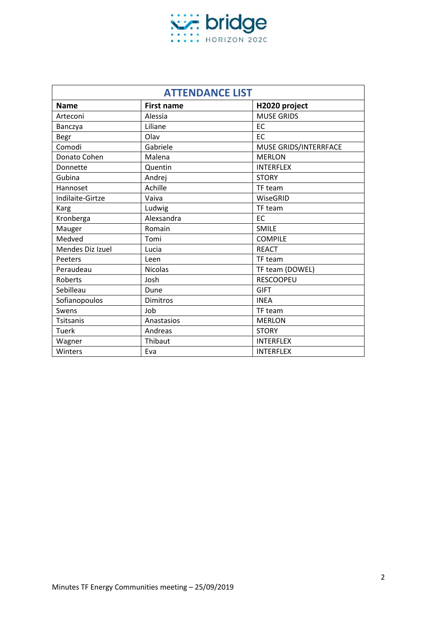

| <b>ATTENDANCE LIST</b> |                   |                       |  |  |
|------------------------|-------------------|-----------------------|--|--|
| <b>Name</b>            | <b>First name</b> | H2020 project         |  |  |
| Arteconi               | Alessia           | <b>MUSE GRIDS</b>     |  |  |
| Banczya                | Liliane           | EC                    |  |  |
| Begr                   | Olav              | EC                    |  |  |
| Comodi                 | Gabriele          | MUSE GRIDS/INTERRFACE |  |  |
| Donato Cohen           | Malena            | <b>MERLON</b>         |  |  |
| Donnette               | Quentin           | <b>INTERFLEX</b>      |  |  |
| Gubina                 | Andrej            | <b>STORY</b>          |  |  |
| Hannoset               | Achille           | TF team               |  |  |
| Indilaite-Girtze       | Vaiva             | WiseGRID              |  |  |
| Karg                   | Ludwig            | TF team               |  |  |
| Kronberga              | Alexsandra        | EC                    |  |  |
| Mauger                 | Romain            | SMILE                 |  |  |
| Medved                 | Tomi              | <b>COMPILE</b>        |  |  |
| Mendes Diz Izuel       | Lucia             | <b>REACT</b>          |  |  |
| Peeters                | Leen              | TF team               |  |  |
| Peraudeau              | <b>Nicolas</b>    | TF team (DOWEL)       |  |  |
| Roberts                | Josh              | <b>RESCOOPEU</b>      |  |  |
| Sebilleau              | Dune              | <b>GIFT</b>           |  |  |
| Sofianopoulos          | <b>Dimitros</b>   | <b>INEA</b>           |  |  |
| Swens                  | Job               | TF team               |  |  |
| Tsitsanis              | Anastasios        | <b>MERLON</b>         |  |  |
| <b>Tuerk</b>           | Andreas           | <b>STORY</b>          |  |  |
| Wagner                 | Thibaut           | <b>INTERFLEX</b>      |  |  |
| Winters                | Eva               | <b>INTERFLEX</b>      |  |  |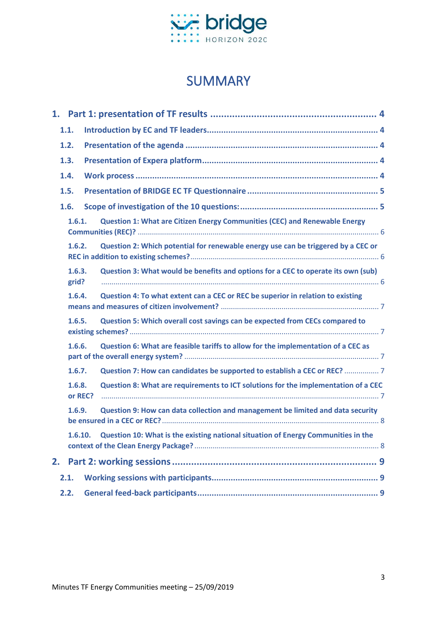

## SUMMARY

|        | 1.1.              |  |                                                                                          |  |  |
|--------|-------------------|--|------------------------------------------------------------------------------------------|--|--|
|        | 1.2.              |  |                                                                                          |  |  |
|        | 1.3.              |  |                                                                                          |  |  |
|        | 1.4.              |  |                                                                                          |  |  |
|        | 1.5.              |  |                                                                                          |  |  |
|        | 1.6.              |  |                                                                                          |  |  |
|        | 1.6.1.            |  | Question 1: What are Citizen Energy Communities (CEC) and Renewable Energy               |  |  |
|        | 1.6.2.            |  | Question 2: Which potential for renewable energy use can be triggered by a CEC or        |  |  |
|        | 1.6.3.<br>grid?   |  | Question 3: What would be benefits and options for a CEC to operate its own (sub)        |  |  |
|        | 1.6.4.            |  | Question 4: To what extent can a CEC or REC be superior in relation to existing          |  |  |
|        | 1.6.5.            |  | Question 5: Which overall cost savings can be expected from CECs compared to             |  |  |
| 1.6.6. |                   |  | Question 6: What are feasible tariffs to allow for the implementation of a CEC as        |  |  |
|        | 1.6.7.            |  |                                                                                          |  |  |
|        | 1.6.8.<br>or REC? |  | Question 8: What are requirements to ICT solutions for the implementation of a CEC       |  |  |
|        | 1.6.9.            |  | Question 9: How can data collection and management be limited and data security          |  |  |
|        | 1.6.10.           |  | <b>Question 10: What is the existing national situation of Energy Communities in the</b> |  |  |
| 2.     |                   |  |                                                                                          |  |  |
|        | 2.1.              |  |                                                                                          |  |  |
|        | 2.2.              |  |                                                                                          |  |  |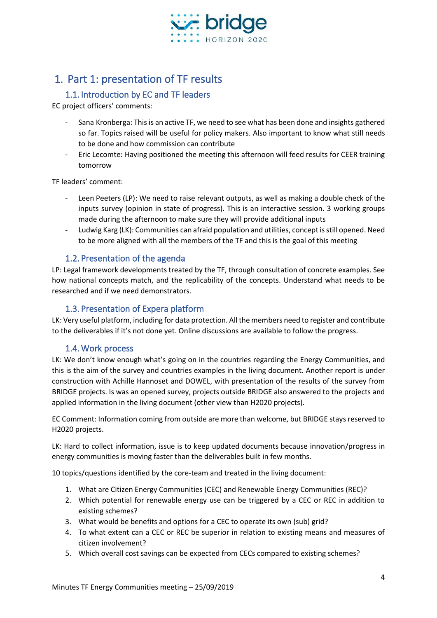

### <span id="page-3-0"></span>1. Part 1: presentation of TF results

#### 1.1. Introduction by EC and TF leaders

<span id="page-3-1"></span>EC project officers' comments:

- Sana Kronberga: This is an active TF, we need to see what has been done and insights gathered so far. Topics raised will be useful for policy makers. Also important to know what still needs to be done and how commission can contribute
- Eric Lecomte: Having positioned the meeting this afternoon will feed results for CEER training tomorrow

TF leaders' comment:

- Leen Peeters (LP): We need to raise relevant outputs, as well as making a double check of the inputs survey (opinion in state of progress). This is an interactive session. 3 working groups made during the afternoon to make sure they will provide additional inputs
- Ludwig Karg (LK): Communities can afraid population and utilities, concept is still opened. Need to be more aligned with all the members of the TF and this is the goal of this meeting

#### 1.2. Presentation of the agenda

<span id="page-3-2"></span>LP: Legal framework developments treated by the TF, through consultation of concrete examples. See how national concepts match, and the replicability of the concepts. Understand what needs to be researched and if we need demonstrators.

#### 1.3. Presentation of Expera platform

<span id="page-3-3"></span>LK: Very useful platform, including for data protection. All the members need to register and contribute to the deliverables if it's not done yet. Online discussions are available to follow the progress.

#### 1.4. Work process

<span id="page-3-4"></span>LK: We don't know enough what's going on in the countries regarding the Energy Communities, and this is the aim of the survey and countries examples in the living document. Another report is under construction with Achille Hannoset and DOWEL, with presentation of the results of the survey from BRIDGE projects. Is was an opened survey, projects outside BRIDGE also answered to the projects and applied information in the living document (other view than H2020 projects).

EC Comment: Information coming from outside are more than welcome, but BRIDGE stays reserved to H2020 projects.

LK: Hard to collect information, issue is to keep updated documents because innovation/progress in energy communities is moving faster than the deliverables built in few months.

10 topics/questions identified by the core-team and treated in the living document:

- 1. What are Citizen Energy Communities (CEC) and Renewable Energy Communities (REC)?
- 2. Which potential for renewable energy use can be triggered by a CEC or REC in addition to existing schemes?
- 3. What would be benefits and options for a CEC to operate its own (sub) grid?
- 4. To what extent can a CEC or REC be superior in relation to existing means and measures of citizen involvement?
- 5. Which overall cost savings can be expected from CECs compared to existing schemes?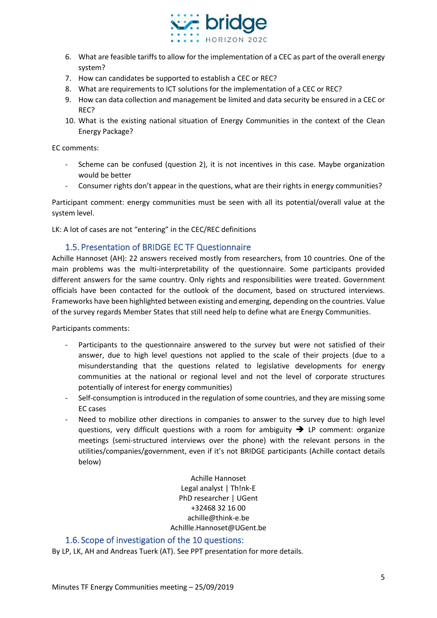

- 6. What are feasible tariffs to allow for the implementation of a CEC as part of the overall energy system?
- 7. How can candidates be supported to establish a CEC or REC?
- 8. What are requirements to ICT solutions for the implementation of a CEC or REC?
- 9. How can data collection and management be limited and data security be ensured in a CEC or REC?
- 10. What is the existing national situation of Energy Communities in the context of the Clean Energy Package?

EC comments:

- Scheme can be confused (question 2), it is not incentives in this case. Maybe organization would be better
- Consumer rights don't appear in the questions, what are their rights in energy communities?

Participant comment: energy communities must be seen with all its potential/overall value at the system level.

LK: A lot of cases are not "entering" in the CEC/REC definitions

#### 1.5. Presentation of BRIDGE EC TF Questionnaire

<span id="page-4-0"></span>Achille Hannoset (AH): 22 answers received mostly from researchers, from 10 countries. One of the main problems was the multi-interpretability of the questionnaire. Some participants provided different answers for the same country. Only rights and responsibilities were treated. Government officials have been contacted for the outlook of the document, based on structured interviews. Frameworks have been highlighted between existing and emerging, depending on the countries. Value of the survey regards Member States that still need help to define what are Energy Communities.

Participants comments:

- Participants to the questionnaire answered to the survey but were not satisfied of their answer, due to high level questions not applied to the scale of their projects (due to a misunderstanding that the questions related to legislative developments for energy communities at the national or regional level and not the level of corporate structures potentially of interest for energy communities)
- Self-consumption is introduced in the regulation of some countries, and they are missing some EC cases
- Need to mobilize other directions in companies to answer to the survey due to high level questions, very difficult questions with a room for ambiguity  $\rightarrow$  LP comment: organize meetings (semi-structured interviews over the phone) with the relevant persons in the utilities/companies/government, even if it's not BRIDGE participants (Achille contact details below)

Achille Hannoset Legal analyst | Th!nk-E PhD researcher | UGent +32468 32 16 00 [achille@think-e.be](mailto:achille@think-e.be) [Achillle.Hannoset@UGent.be](mailto:Achillle.Hannoset@UGent.be)

#### <span id="page-4-1"></span>1.6. Scope of investigation of the 10 questions:

By LP, LK, AH and Andreas Tuerk (AT). See PPT presentation for more details.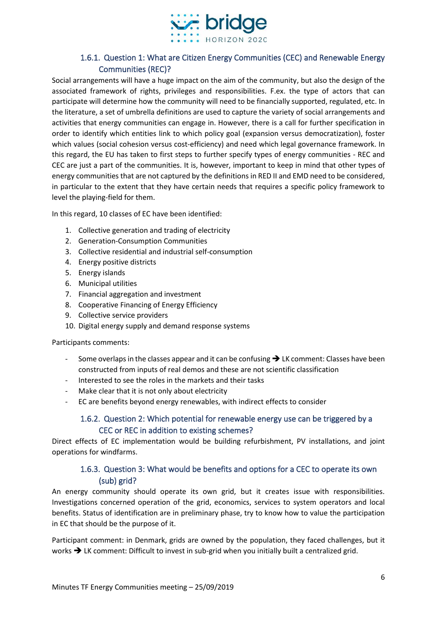

#### 1.6.1. Question 1: What are Citizen Energy Communities (CEC) and Renewable Energy Communities (REC)?

<span id="page-5-0"></span>Social arrangements will have a huge impact on the aim of the community, but also the design of the associated framework of rights, privileges and responsibilities. F.ex. the type of actors that can participate will determine how the community will need to be financially supported, regulated, etc. In the literature, a set of umbrella definitions are used to capture the variety of social arrangements and activities that energy communities can engage in. However, there is a call for further specification in order to identify which entities link to which policy goal (expansion versus democratization), foster which values (social cohesion versus cost-efficiency) and need which legal governance framework. In this regard, the EU has taken to first steps to further specify types of energy communities - REC and CEC are just a part of the communities. It is, however, important to keep in mind that other types of energy communities that are not captured by the definitions in RED II and EMD need to be considered, in particular to the extent that they have certain needs that requires a specific policy framework to level the playing-field for them.

In this regard, 10 classes of EC have been identified:

- 1. Collective generation and trading of electricity
- 2. Generation-Consumption Communities
- 3. Collective residential and industrial self-consumption
- 4. Energy positive districts
- 5. Energy islands
- 6. Municipal utilities
- 7. Financial aggregation and investment
- 8. Cooperative Financing of Energy Efficiency
- 9. Collective service providers
- 10. Digital energy supply and demand response systems

Participants comments:

- Some overlaps in the classes appear and it can be confusing → LK comment: Classes have been constructed from inputs of real demos and these are not scientific classification
- Interested to see the roles in the markets and their tasks
- Make clear that it is not only about electricity
- <span id="page-5-1"></span>- EC are benefits beyond energy renewables, with indirect effects to consider

#### 1.6.2. Question 2: Which potential for renewable energy use can be triggered by a CEC or REC in addition to existing schemes?

Direct effects of EC implementation would be building refurbishment, PV installations, and joint operations for windfarms.

#### 1.6.3. Question 3: What would be benefits and options for a CEC to operate its own (sub) grid?

<span id="page-5-2"></span>An energy community should operate its own grid, but it creates issue with responsibilities. Investigations concerned operation of the grid, economics, services to system operators and local benefits. Status of identification are in preliminary phase, try to know how to value the participation in EC that should be the purpose of it.

Participant comment: in Denmark, grids are owned by the population, they faced challenges, but it works **→** LK comment: Difficult to invest in sub-grid when you initially built a centralized grid.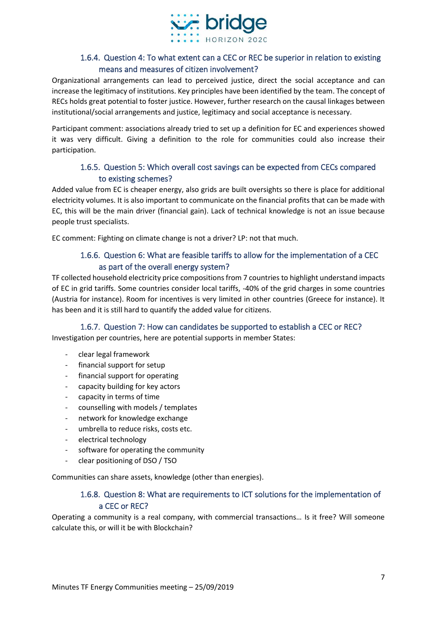

#### 1.6.4. Question 4: To what extent can a CEC or REC be superior in relation to existing means and measures of citizen involvement?

<span id="page-6-0"></span>Organizational arrangements can lead to perceived justice, direct the social acceptance and can increase the legitimacy of institutions. Key principles have been identified by the team. The concept of RECs holds great potential to foster justice. However, further research on the causal linkages between institutional/social arrangements and justice, legitimacy and social acceptance is necessary.

Participant comment: associations already tried to set up a definition for EC and experiences showed it was very difficult. Giving a definition to the role for communities could also increase their participation.

#### 1.6.5. Question 5: Which overall cost savings can be expected from CECs compared to existing schemes?

<span id="page-6-1"></span>Added value from EC is cheaper energy, also grids are built oversights so there is place for additional electricity volumes. It is also important to communicate on the financial profits that can be made with EC, this will be the main driver (financial gain). Lack of technical knowledge is not an issue because people trust specialists.

<span id="page-6-2"></span>EC comment: Fighting on climate change is not a driver? LP: not that much.

#### 1.6.6. Question 6: What are feasible tariffs to allow for the implementation of a CEC as part of the overall energy system?

TF collected household electricity price compositions from 7 countries to highlight understand impacts of EC in grid tariffs. Some countries consider local tariffs, -40% of the grid charges in some countries (Austria for instance). Room for incentives is very limited in other countries (Greece for instance). It has been and it is still hard to quantify the added value for citizens.

#### 1.6.7. Question 7: How can candidates be supported to establish a CEC or REC?

<span id="page-6-3"></span>Investigation per countries, here are potential supports in member States:

- clear legal framework
- financial support for setup
- financial support for operating
- capacity building for key actors
- capacity in terms of time
- counselling with models / templates
- network for knowledge exchange
- umbrella to reduce risks, costs etc.
- electrical technology
- software for operating the community
- clear positioning of DSO / TSO

<span id="page-6-4"></span>Communities can share assets, knowledge (other than energies).

#### 1.6.8. Question 8: What are requirements to ICT solutions for the implementation of a CEC or REC?

Operating a community is a real company, with commercial transactions… Is it free? Will someone calculate this, or will it be with Blockchain?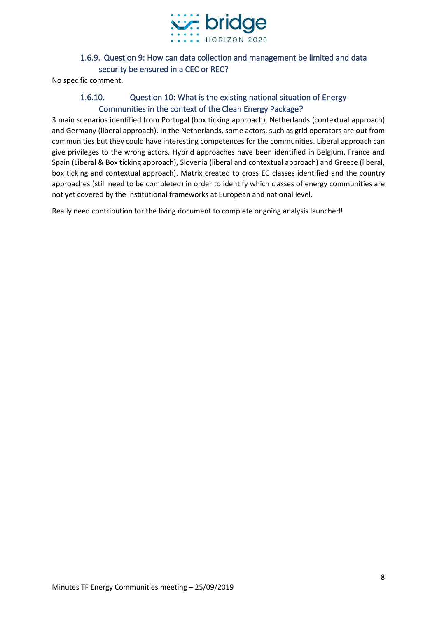

#### 1.6.9. Question 9: How can data collection and management be limited and data security be ensured in a CEC or REC?

<span id="page-7-1"></span><span id="page-7-0"></span>No specific comment.

#### 1.6.10. Question 10: What is the existing national situation of Energy Communities in the context of the Clean Energy Package?

3 main scenarios identified from Portugal (box ticking approach), Netherlands (contextual approach) and Germany (liberal approach). In the Netherlands, some actors, such as grid operators are out from communities but they could have interesting competences for the communities. Liberal approach can give privileges to the wrong actors. Hybrid approaches have been identified in Belgium, France and Spain (Liberal & Box ticking approach), Slovenia (liberal and contextual approach) and Greece (liberal, box ticking and contextual approach). Matrix created to cross EC classes identified and the country approaches (still need to be completed) in order to identify which classes of energy communities are not yet covered by the institutional frameworks at European and national level.

Really need contribution for the living document to complete ongoing analysis launched!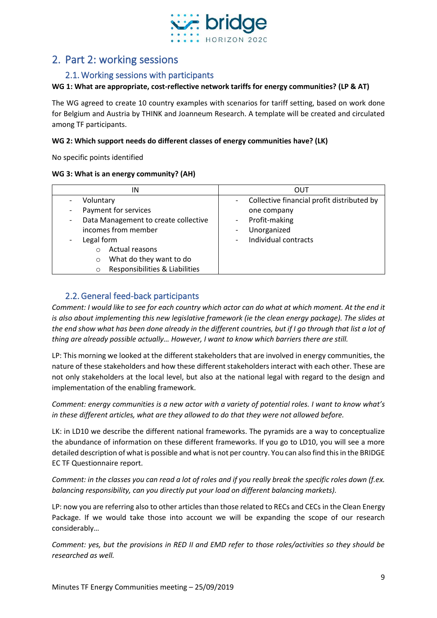

#### <span id="page-8-1"></span><span id="page-8-0"></span>2. Part 2: working sessions

#### 2.1. Working sessions with participants

#### **WG 1: What are appropriate, cost-reflective network tariffs for energy communities? (LP & AT)**

The WG agreed to create 10 country examples with scenarios for tariff setting, based on work done for Belgium and Austria by THINK and Joanneum Research. A template will be created and circulated among TF participants.

#### **WG 2: Which support needs do different classes of energy communities have? (LK)**

No specific points identified

#### **WG 3: What is an energy community? (AH)**

| ΙN                                         | OUT                                        |
|--------------------------------------------|--------------------------------------------|
| Voluntary                                  | Collective financial profit distributed by |
| Payment for services                       | one company                                |
| Data Management to create collective<br>٠  | Profit-making                              |
| incomes from member                        | Unorganized                                |
| Legal form                                 | Individual contracts                       |
| Actual reasons<br>$\bigcirc$               |                                            |
| What do they want to do<br>$\circ$         |                                            |
| Responsibilities & Liabilities<br>$\Omega$ |                                            |

#### 2.2.General feed-back participants

<span id="page-8-2"></span>*Comment: I would like to see for each country which actor can do what at which moment. At the end it is also about implementing this new legislative framework (ie the clean energy package). The slides at the end show what has been done already in the different countries, but if I go through that list a lot of thing are already possible actually… However, I want to know which barriers there are still.*

LP: This morning we looked at the different stakeholders that are involved in energy communities, the nature of these stakeholders and how these different stakeholders interact with each other. These are not only stakeholders at the local level, but also at the national legal with regard to the design and implementation of the enabling framework.

*Comment: energy communities is a new actor with a variety of potential roles. I want to know what's in these different articles, what are they allowed to do that they were not allowed before.*

LK: in LD10 we describe the different national frameworks. The pyramids are a way to conceptualize the abundance of information on these different frameworks. If you go to LD10, you will see a more detailed description of what is possible and what is not per country. You can also find this in the BRIDGE EC TF Questionnaire report.

*Comment: in the classes you can read a lot of roles and if you really break the specific roles down (f.ex. balancing responsibility, can you directly put your load on different balancing markets).*

LP: now you are referring also to other articles than those related to RECs and CECs in the Clean Energy Package. If we would take those into account we will be expanding the scope of our research considerably…

*Comment: yes, but the provisions in RED II and EMD refer to those roles/activities so they should be researched as well.*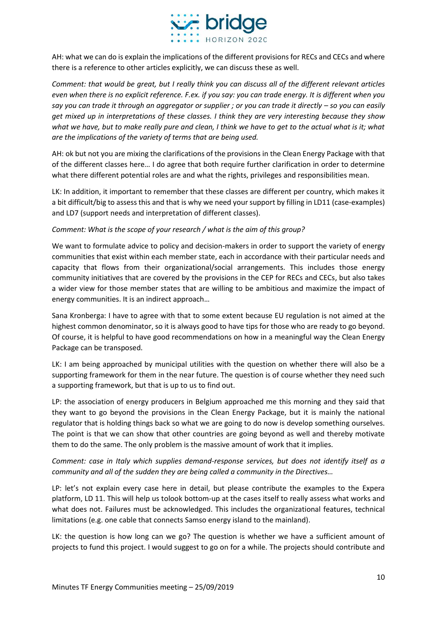

AH: what we can do is explain the implications of the different provisions for RECs and CECs and where there is a reference to other articles explicitly, we can discuss these as well.

*Comment: that would be great, but I really think you can discuss all of the different relevant articles even when there is no explicit reference. F.ex. if you say: you can trade energy. It is different when you say you can trade it through an aggregator or supplier ; or you can trade it directly – so you can easily get mixed up in interpretations of these classes. I think they are very interesting because they show*  what we have, but to make really pure and clean, I think we have to get to the actual what is it; what *are the implications of the variety of terms that are being used.*

AH: ok but not you are mixing the clarifications of the provisions in the Clean Energy Package with that of the different classes here… I do agree that both require further clarification in order to determine what there different potential roles are and what the rights, privileges and responsibilities mean.

LK: In addition, it important to remember that these classes are different per country, which makes it a bit difficult/big to assess this and that is why we need your support by filling in LD11 (case-examples) and LD7 (support needs and interpretation of different classes).

#### *Comment: What is the scope of your research / what is the aim of this group?*

We want to formulate advice to policy and decision-makers in order to support the variety of energy communities that exist within each member state, each in accordance with their particular needs and capacity that flows from their organizational/social arrangements. This includes those energy community initiatives that are covered by the provisions in the CEP for RECs and CECs, but also takes a wider view for those member states that are willing to be ambitious and maximize the impact of energy communities. It is an indirect approach…

Sana Kronberga: I have to agree with that to some extent because EU regulation is not aimed at the highest common denominator, so it is always good to have tips for those who are ready to go beyond. Of course, it is helpful to have good recommendations on how in a meaningful way the Clean Energy Package can be transposed.

LK: I am being approached by municipal utilities with the question on whether there will also be a supporting framework for them in the near future. The question is of course whether they need such a supporting framework, but that is up to us to find out.

LP: the association of energy producers in Belgium approached me this morning and they said that they want to go beyond the provisions in the Clean Energy Package, but it is mainly the national regulator that is holding things back so what we are going to do now is develop something ourselves. The point is that we can show that other countries are going beyond as well and thereby motivate them to do the same. The only problem is the massive amount of work that it implies.

#### *Comment: case in Italy which supplies demand-response services, but does not identify itself as a community and all of the sudden they are being called a community in the Directives…*

LP: let's not explain every case here in detail, but please contribute the examples to the Expera platform, LD 11. This will help us tolook bottom-up at the cases itself to really assess what works and what does not. Failures must be acknowledged. This includes the organizational features, technical limitations (e.g. one cable that connects Samso energy island to the mainland).

LK: the question is how long can we go? The question is whether we have a sufficient amount of projects to fund this project. I would suggest to go on for a while. The projects should contribute and